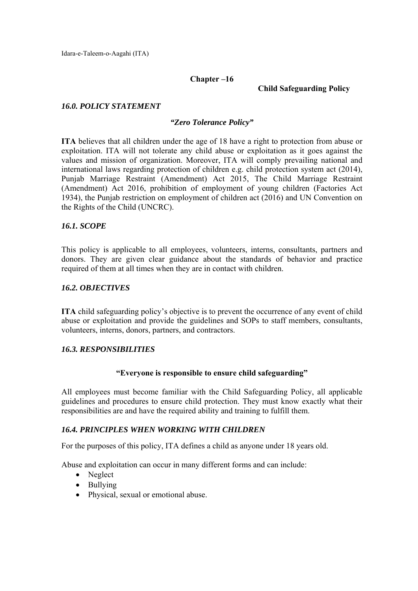#### **Chapter –16**

 **Child Safeguarding Policy** 

#### *16.0. POLICY STATEMENT*

#### *"Zero Tolerance Policy"*

**ITA** believes that all children under the age of 18 have a right to protection from abuse or exploitation. ITA will not tolerate any child abuse or exploitation as it goes against the values and mission of organization. Moreover, ITA will comply prevailing national and international laws regarding protection of children e.g. child protection system act (2014), Punjab Marriage Restraint (Amendment) Act 2015, The Child Marriage Restraint (Amendment) Act 2016, prohibition of employment of young children (Factories Act 1934), the Punjab restriction on employment of children act (2016) and UN Convention on the Rights of the Child (UNCRC).

#### *16.1. SCOPE*

This policy is applicable to all employees, volunteers, interns, consultants, partners and donors. They are given clear guidance about the standards of behavior and practice required of them at all times when they are in contact with children.

#### *16.2. OBJECTIVES*

**ITA** child safeguarding policy's objective is to prevent the occurrence of any event of child abuse or exploitation and provide the guidelines and SOPs to staff members, consultants, volunteers, interns, donors, partners, and contractors.

#### *16.3. RESPONSIBILITIES*

#### **"Everyone is responsible to ensure child safeguarding"**

All employees must become familiar with the Child Safeguarding Policy, all applicable guidelines and procedures to ensure child protection. They must know exactly what their responsibilities are and have the required ability and training to fulfill them.

#### *16.4. PRINCIPLES WHEN WORKING WITH CHILDREN*

For the purposes of this policy, ITA defines a child as anyone under 18 years old.

Abuse and exploitation can occur in many different forms and can include:

- Neglect
- Bullying
- Physical, sexual or emotional abuse.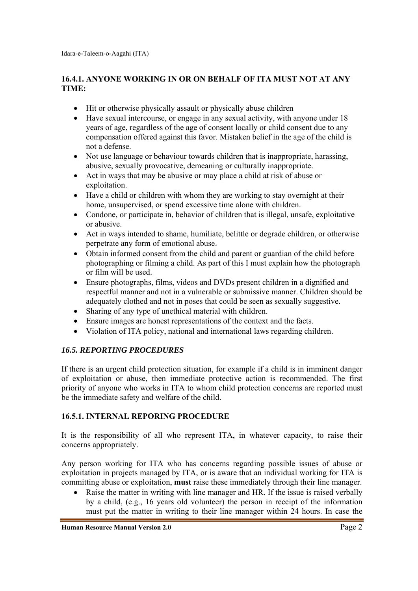# **16.4.1. ANYONE WORKING IN OR ON BEHALF OF ITA MUST NOT AT ANY TIME:**

- Hit or otherwise physically assault or physically abuse children
- Have sexual intercourse, or engage in any sexual activity, with anyone under 18 years of age, regardless of the age of consent locally or child consent due to any compensation offered against this favor. Mistaken belief in the age of the child is not a defense.
- Not use language or behaviour towards children that is inappropriate, harassing, abusive, sexually provocative, demeaning or culturally inappropriate.
- Act in ways that may be abusive or may place a child at risk of abuse or exploitation.
- Have a child or children with whom they are working to stay overnight at their home, unsupervised, or spend excessive time alone with children.
- Condone, or participate in, behavior of children that is illegal, unsafe, exploitative or abusive.
- Act in ways intended to shame, humiliate, belittle or degrade children, or otherwise perpetrate any form of emotional abuse.
- Obtain informed consent from the child and parent or guardian of the child before photographing or filming a child. As part of this I must explain how the photograph or film will be used.
- Ensure photographs, films, videos and DVDs present children in a dignified and respectful manner and not in a vulnerable or submissive manner. Children should be adequately clothed and not in poses that could be seen as sexually suggestive.
- Sharing of any type of unethical material with children.
- Ensure images are honest representations of the context and the facts.
- Violation of ITA policy, national and international laws regarding children.

# *16.5. REPORTING PROCEDURES*

If there is an urgent child protection situation, for example if a child is in imminent danger of exploitation or abuse, then immediate protective action is recommended. The first priority of anyone who works in ITA to whom child protection concerns are reported must be the immediate safety and welfare of the child.

## **16.5.1. INTERNAL REPORING PROCEDURE**

It is the responsibility of all who represent ITA, in whatever capacity, to raise their concerns appropriately.

Any person working for ITA who has concerns regarding possible issues of abuse or exploitation in projects managed by ITA, or is aware that an individual working for ITA is committing abuse or exploitation, **must** raise these immediately through their line manager.

 Raise the matter in writing with line manager and HR. If the issue is raised verbally by a child, (e.g., 16 years old volunteer) the person in receipt of the information must put the matter in writing to their line manager within 24 hours. In case the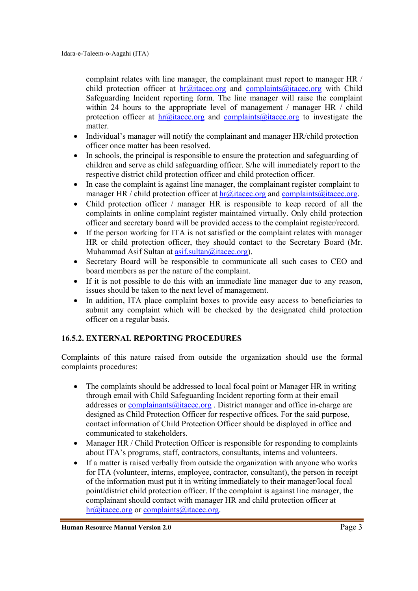complaint relates with line manager, the complainant must report to manager HR / child protection officer at  $hr@$  itacec.org and complaints@itacec.org with Child Safeguarding Incident reporting form. The line manager will raise the complaint within 24 hours to the appropriate level of management / manager HR / child protection officer at  $hr@$  itacec.org and complaints $@$  itacec.org to investigate the matter.

- Individual's manager will notify the complainant and manager HR/child protection officer once matter has been resolved.
- In schools, the principal is responsible to ensure the protection and safeguarding of children and serve as child safeguarding officer. S/he will immediately report to the respective district child protection officer and child protection officer.
- In case the complaint is against line manager, the complainant register complaint to manager HR / child protection officer at  $\text{hr}\textcircled{a}$  itacec.org and complaints  $\textcircled{a}$  itacec.org.
- Child protection officer / manager HR is responsible to keep record of all the complaints in online complaint register maintained virtually. Only child protection officer and secretary board will be provided access to the complaint register/record.
- If the person working for ITA is not satisfied or the complaint relates with manager HR or child protection officer, they should contact to the Secretary Board (Mr. Muhammad Asif Sultan at  $a$ sif.sultan@itacec.org).
- Secretary Board will be responsible to communicate all such cases to CEO and board members as per the nature of the complaint.
- If it is not possible to do this with an immediate line manager due to any reason, issues should be taken to the next level of management.
- In addition, ITA place complaint boxes to provide easy access to beneficiaries to submit any complaint which will be checked by the designated child protection officer on a regular basis.

## **16.5.2. EXTERNAL REPORTING PROCEDURES**

Complaints of this nature raised from outside the organization should use the formal complaints procedures:

- The complaints should be addressed to local focal point or Manager HR in writing through email with Child Safeguarding Incident reporting form at their email addresses or  $complainants@jtacec.org$ . District manager and office in-charge are designed as Child Protection Officer for respective offices. For the said purpose, contact information of Child Protection Officer should be displayed in office and communicated to stakeholders.
- Manager HR / Child Protection Officer is responsible for responding to complaints about ITA's programs, staff, contractors, consultants, interns and volunteers.
- If a matter is raised verbally from outside the organization with anyone who works for ITA (volunteer, interns, employee, contractor, consultant), the person in receipt of the information must put it in writing immediately to their manager/local focal point/district child protection officer. If the complaint is against line manager, the complainant should contact with manager HR and child protection officer at hr@itacec.org or complaints@itacec.org.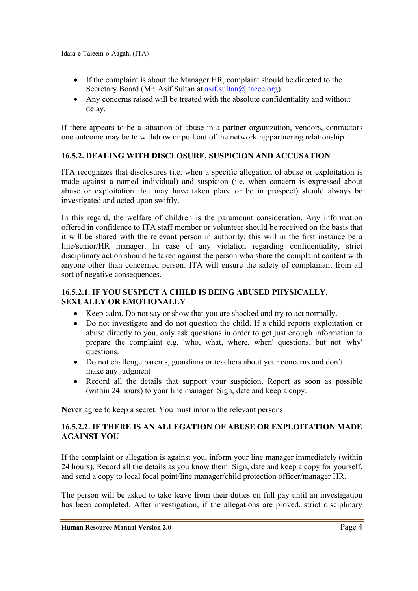- If the complaint is about the Manager HR, complaint should be directed to the Secretary Board (Mr. Asif Sultan at asif.sultan@itacec.org).
- Any concerns raised will be treated with the absolute confidentiality and without delay.

If there appears to be a situation of abuse in a partner organization, vendors, contractors one outcome may be to withdraw or pull out of the networking/partnering relationship.

# **16.5.2. DEALING WITH DISCLOSURE, SUSPICION AND ACCUSATION**

ITA recognizes that disclosures (i.e. when a specific allegation of abuse or exploitation is made against a named individual) and suspicion (i.e. when concern is expressed about abuse or exploitation that may have taken place or be in prospect) should always be investigated and acted upon swiftly.

In this regard, the welfare of children is the paramount consideration. Any information offered in confidence to ITA staff member or volunteer should be received on the basis that it will be shared with the relevant person in authority: this will in the first instance be a line/senior/HR manager. In case of any violation regarding confidentiality, strict disciplinary action should be taken against the person who share the complaint content with anyone other than concerned person. ITA will ensure the safety of complainant from all sort of negative consequences.

## **16.5.2.1. IF YOU SUSPECT A CHILD IS BEING ABUSED PHYSICALLY, SEXUALLY OR EMOTIONALLY**

- Keep calm. Do not say or show that you are shocked and try to act normally.
- Do not investigate and do not question the child. If a child reports exploitation or abuse directly to you, only ask questions in order to get just enough information to prepare the complaint e.g. 'who, what, where, when' questions, but not 'why' questions.
- Do not challenge parents, guardians or teachers about your concerns and don't make any judgment
- Record all the details that support your suspicion. Report as soon as possible (within 24 hours) to your line manager. Sign, date and keep a copy.

**Never** agree to keep a secret. You must inform the relevant persons.

# **16.5.2.2. IF THERE IS AN ALLEGATION OF ABUSE OR EXPLOITATION MADE AGAINST YOU**

If the complaint or allegation is against you, inform your line manager immediately (within 24 hours). Record all the details as you know them. Sign, date and keep a copy for yourself, and send a copy to local focal point/line manager/child protection officer/manager HR.

The person will be asked to take leave from their duties on full pay until an investigation has been completed. After investigation, if the allegations are proved, strict disciplinary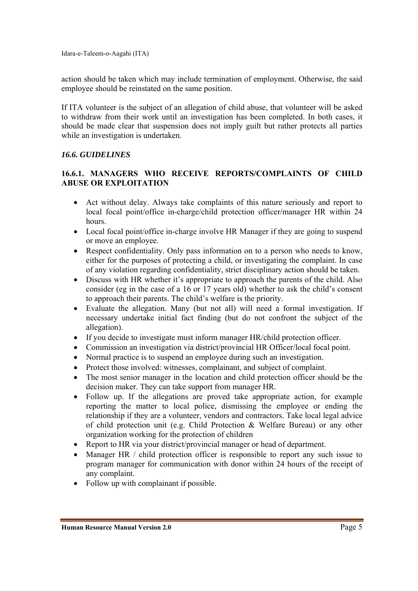action should be taken which may include termination of employment. Otherwise, the said employee should be reinstated on the same position.

If ITA volunteer is the subject of an allegation of child abuse, that volunteer will be asked to withdraw from their work until an investigation has been completed. In both cases, it should be made clear that suspension does not imply guilt but rather protects all parties while an investigation is undertaken.

#### *16.6. GUIDELINES*

#### **16.6.1. MANAGERS WHO RECEIVE REPORTS/COMPLAINTS OF CHILD ABUSE OR EXPLOITATION**

- Act without delay. Always take complaints of this nature seriously and report to local focal point/office in-charge/child protection officer/manager HR within 24 hours.
- Local focal point/office in-charge involve HR Manager if they are going to suspend or move an employee.
- Respect confidentiality. Only pass information on to a person who needs to know, either for the purposes of protecting a child, or investigating the complaint. In case of any violation regarding confidentiality, strict disciplinary action should be taken.
- Discuss with HR whether it's appropriate to approach the parents of the child. Also consider (eg in the case of a 16 or 17 years old) whether to ask the child's consent to approach their parents. The child's welfare is the priority.
- Evaluate the allegation. Many (but not all) will need a formal investigation. If necessary undertake initial fact finding (but do not confront the subject of the allegation).
- If you decide to investigate must inform manager HR/child protection officer.
- Commission an investigation via district/provincial HR Officer/local focal point.
- Normal practice is to suspend an employee during such an investigation.
- Protect those involved: witnesses, complainant, and subject of complaint.
- The most senior manager in the location and child protection officer should be the decision maker. They can take support from manager HR.
- Follow up. If the allegations are proved take appropriate action, for example reporting the matter to local police, dismissing the employee or ending the relationship if they are a volunteer, vendors and contractors. Take local legal advice of child protection unit (e.g. Child Protection & Welfare Bureau) or any other organization working for the protection of children
- Report to HR via your district/provincial manager or head of department.
- Manager HR / child protection officer is responsible to report any such issue to program manager for communication with donor within 24 hours of the receipt of any complaint.
- Follow up with complainant if possible.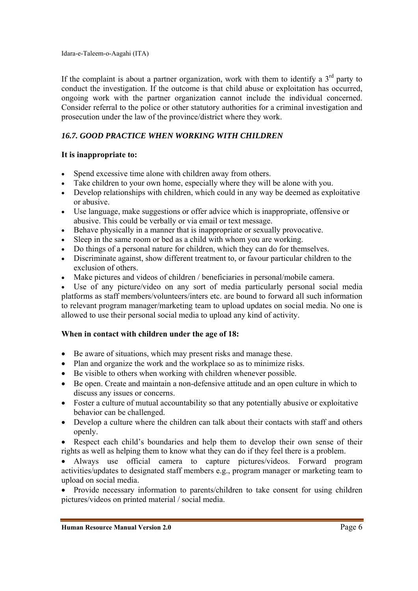If the complaint is about a partner organization, work with them to identify a  $3<sup>rd</sup>$  party to conduct the investigation. If the outcome is that child abuse or exploitation has occurred, ongoing work with the partner organization cannot include the individual concerned. Consider referral to the police or other statutory authorities for a criminal investigation and prosecution under the law of the province/district where they work.

# *16.7. GOOD PRACTICE WHEN WORKING WITH CHILDREN*

## **It is inappropriate to:**

- Spend excessive time alone with children away from others.
- Take children to your own home, especially where they will be alone with you.
- Develop relationships with children, which could in any way be deemed as exploitative or abusive.
- Use language, make suggestions or offer advice which is inappropriate, offensive or abusive. This could be verbally or via email or text message.
- Behave physically in a manner that is inappropriate or sexually provocative.
- Sleep in the same room or bed as a child with whom you are working.
- Do things of a personal nature for children, which they can do for themselves.
- Discriminate against, show different treatment to, or favour particular children to the exclusion of others.
- Make pictures and videos of children / beneficiaries in personal/mobile camera.

 Use of any picture/video on any sort of media particularly personal social media platforms as staff members/volunteers/inters etc. are bound to forward all such information to relevant program manager/marketing team to upload updates on social media. No one is allowed to use their personal social media to upload any kind of activity.

#### **When in contact with children under the age of 18:**

- Be aware of situations, which may present risks and manage these.
- Plan and organize the work and the workplace so as to minimize risks.
- Be visible to others when working with children whenever possible.
- Be open. Create and maintain a non-defensive attitude and an open culture in which to discuss any issues or concerns.
- Foster a culture of mutual accountability so that any potentially abusive or exploitative behavior can be challenged.
- Develop a culture where the children can talk about their contacts with staff and others openly.
- Respect each child's boundaries and help them to develop their own sense of their rights as well as helping them to know what they can do if they feel there is a problem.
- Always use official camera to capture pictures/videos. Forward program activities/updates to designated staff members e.g., program manager or marketing team to upload on social media.

• Provide necessary information to parents/children to take consent for using children pictures/videos on printed material / social media.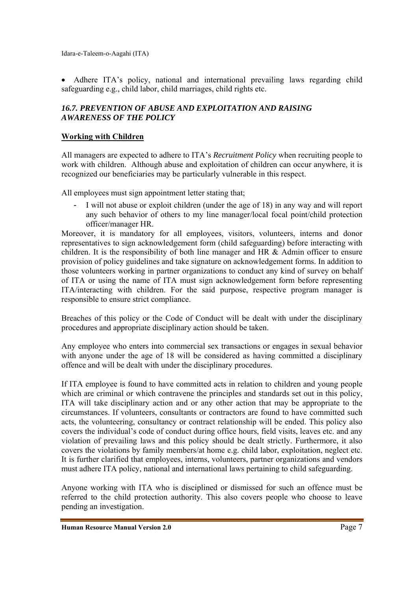Adhere ITA's policy, national and international prevailing laws regarding child safeguarding e.g., child labor, child marriages, child rights etc.

# *16.7. PREVENTION OF ABUSE AND EXPLOITATION AND RAISING AWARENESS OF THE POLICY*

#### **Working with Children**

All managers are expected to adhere to ITA's *Recruitment Policy* when recruiting people to work with children. Although abuse and exploitation of children can occur anywhere, it is recognized our beneficiaries may be particularly vulnerable in this respect.

All employees must sign appointment letter stating that;

I will not abuse or exploit children (under the age of 18) in any way and will report any such behavior of others to my line manager/local focal point/child protection officer/manager HR.

Moreover, it is mandatory for all employees, visitors, volunteers, interns and donor representatives to sign acknowledgement form (child safeguarding) before interacting with children. It is the responsibility of both line manager and HR  $\&$  Admin officer to ensure provision of policy guidelines and take signature on acknowledgement forms. In addition to those volunteers working in partner organizations to conduct any kind of survey on behalf of ITA or using the name of ITA must sign acknowledgement form before representing ITA/interacting with children. For the said purpose, respective program manager is responsible to ensure strict compliance.

Breaches of this policy or the Code of Conduct will be dealt with under the disciplinary procedures and appropriate disciplinary action should be taken.

Any employee who enters into commercial sex transactions or engages in sexual behavior with anyone under the age of 18 will be considered as having committed a disciplinary offence and will be dealt with under the disciplinary procedures.

If ITA employee is found to have committed acts in relation to children and young people which are criminal or which contravene the principles and standards set out in this policy, ITA will take disciplinary action and or any other action that may be appropriate to the circumstances. If volunteers, consultants or contractors are found to have committed such acts, the volunteering, consultancy or contract relationship will be ended. This policy also covers the individual's code of conduct during office hours, field visits, leaves etc. and any violation of prevailing laws and this policy should be dealt strictly. Furthermore, it also covers the violations by family members/at home e.g. child labor, exploitation, neglect etc. It is further clarified that employees, interns, volunteers, partner organizations and vendors must adhere ITA policy, national and international laws pertaining to child safeguarding.

Anyone working with ITA who is disciplined or dismissed for such an offence must be referred to the child protection authority. This also covers people who choose to leave pending an investigation.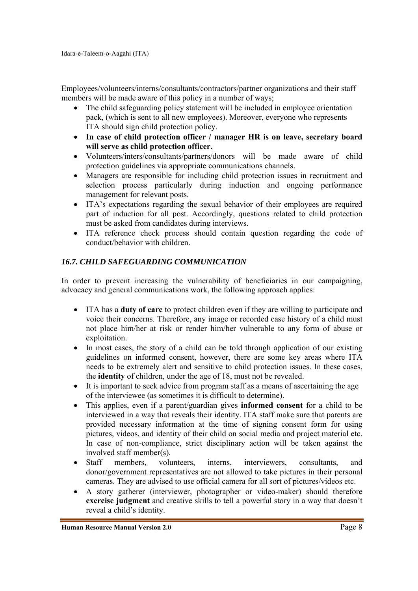Employees/volunteers/interns/consultants/contractors/partner organizations and their staff members will be made aware of this policy in a number of ways;

- The child safeguarding policy statement will be included in employee orientation pack, (which is sent to all new employees). Moreover, everyone who represents ITA should sign child protection policy.
- **In case of child protection officer / manager HR is on leave, secretary board will serve as child protection officer.**
- Volunteers/inters/consultants/partners/donors will be made aware of child protection guidelines via appropriate communications channels.
- Managers are responsible for including child protection issues in recruitment and selection process particularly during induction and ongoing performance management for relevant posts.
- ITA's expectations regarding the sexual behavior of their employees are required part of induction for all post. Accordingly, questions related to child protection must be asked from candidates during interviews.
- ITA reference check process should contain question regarding the code of conduct/behavior with children.

## *16.7. CHILD SAFEGUARDING COMMUNICATION*

In order to prevent increasing the vulnerability of beneficiaries in our campaigning, advocacy and general communications work, the following approach applies:

- ITA has a **duty of care** to protect children even if they are willing to participate and voice their concerns. Therefore, any image or recorded case history of a child must not place him/her at risk or render him/her vulnerable to any form of abuse or exploitation.
- In most cases, the story of a child can be told through application of our existing guidelines on informed consent, however, there are some key areas where ITA needs to be extremely alert and sensitive to child protection issues. In these cases, the **identity** of children, under the age of 18, must not be revealed.
- It is important to seek advice from program staff as a means of ascertaining the age of the interviewee (as sometimes it is difficult to determine).
- This applies, even if a parent/guardian gives **informed consent** for a child to be interviewed in a way that reveals their identity. ITA staff make sure that parents are provided necessary information at the time of signing consent form for using pictures, videos, and identity of their child on social media and project material etc. In case of non-compliance, strict disciplinary action will be taken against the involved staff member(s).
- Staff members, volunteers, interns, interviewers, consultants, and donor/government representatives are not allowed to take pictures in their personal cameras. They are advised to use official camera for all sort of pictures/videos etc.
- A story gatherer (interviewer, photographer or video-maker) should therefore **exercise judgment** and creative skills to tell a powerful story in a way that doesn't reveal a child's identity.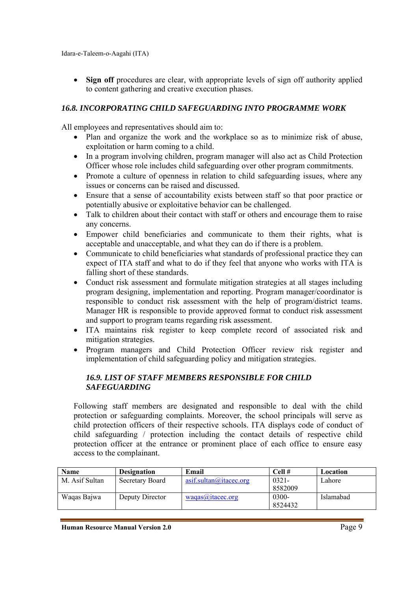• Sign off procedures are clear, with appropriate levels of sign off authority applied to content gathering and creative execution phases.

# *16.8. INCORPORATING CHILD SAFEGUARDING INTO PROGRAMME WORK*

All employees and representatives should aim to:

- Plan and organize the work and the workplace so as to minimize risk of abuse, exploitation or harm coming to a child.
- In a program involving children, program manager will also act as Child Protection Officer whose role includes child safeguarding over other program commitments.
- Promote a culture of openness in relation to child safeguarding issues, where any issues or concerns can be raised and discussed.
- Ensure that a sense of accountability exists between staff so that poor practice or potentially abusive or exploitative behavior can be challenged.
- Talk to children about their contact with staff or others and encourage them to raise any concerns.
- Empower child beneficiaries and communicate to them their rights, what is acceptable and unacceptable, and what they can do if there is a problem.
- Communicate to child beneficiaries what standards of professional practice they can expect of ITA staff and what to do if they feel that anyone who works with ITA is falling short of these standards.
- Conduct risk assessment and formulate mitigation strategies at all stages including program designing, implementation and reporting. Program manager/coordinator is responsible to conduct risk assessment with the help of program/district teams. Manager HR is responsible to provide approved format to conduct risk assessment and support to program teams regarding risk assessment.
- ITA maintains risk register to keep complete record of associated risk and mitigation strategies.
- Program managers and Child Protection Officer review risk register and implementation of child safeguarding policy and mitigation strategies.

## *16.9. LIST OF STAFF MEMBERS RESPONSIBLE FOR CHILD SAFEGUARDING*

Following staff members are designated and responsible to deal with the child protection or safeguarding complaints. Moreover, the school principals will serve as child protection officers of their respective schools. ITA displays code of conduct of child safeguarding / protection including the contact details of respective child protection officer at the entrance or prominent place of each office to ensure easy access to the complainant.

| <b>Name</b>    | <b>Designation</b> | Email                   | Cell#    | Location  |
|----------------|--------------------|-------------------------|----------|-----------|
| M. Asif Sultan | Secretary Board    | asif. sultan@itacec.org | $0321 -$ | Lahore    |
|                |                    |                         | 8582009  |           |
| Waqas Bajwa    | Deputy Director    | waaas@itacec.org        | $0300 -$ | Islamabad |
|                |                    |                         | 8524432  |           |